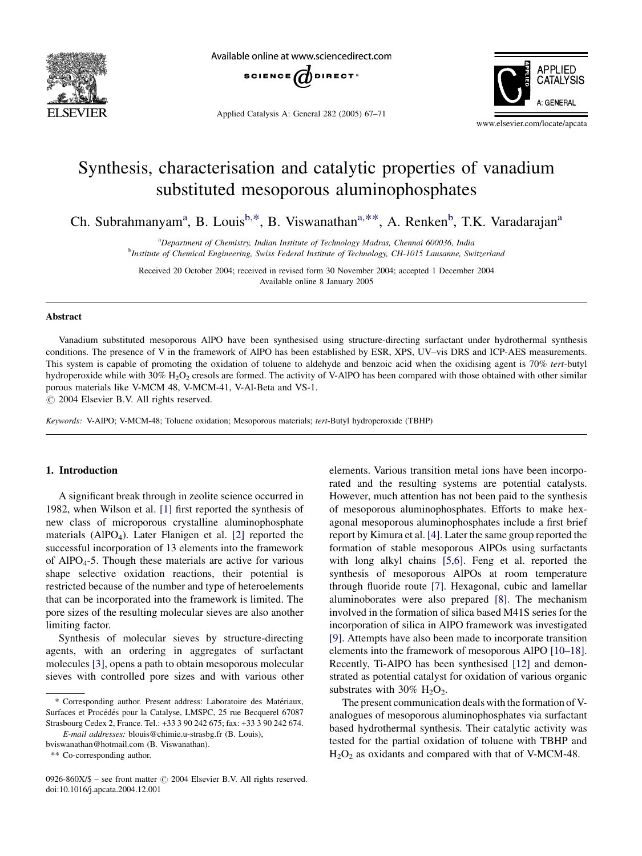

Available online at www.sciencedirect.com



Applied Catalysis A: General 282 (2005) 67–71



www.elsevier.com/locate/apcata

# Synthesis, characterisation and catalytic properties of vanadium substituted mesoporous aluminophosphates

Ch. Subrahmanyam<sup>a</sup>, B. Louis<sup>b,\*</sup>, B. Viswanathan<sup>a,\*\*</sup>, A. Renken<sup>b</sup>, T.K. Varadarajan<sup>a</sup>

<sup>a</sup>Department of Chemistry, Indian Institute of Technology Madras, Chennai 600036, India <sup>b</sup>Institute of Chemical Engineering, Swiss Federal Institute of Technology, CH-1015 Lausanne, Switzerland

Received 20 October 2004; received in revised form 30 November 2004; accepted 1 December 2004 Available online 8 January 2005

## Abstract

Vanadium substituted mesoporous AlPO have been synthesised using structure-directing surfactant under hydrothermal synthesis conditions. The presence of V in the framework of AlPO has been established by ESR, XPS, UV–vis DRS and ICP-AES measurements. This system is capable of promoting the oxidation of toluene to aldehyde and benzoic acid when the oxidising agent is 70% tert-butyl hydroperoxide while with 30% H<sub>2</sub>O<sub>2</sub> cresols are formed. The activity of V-AlPO has been compared with those obtained with other similar porous materials like V-MCM 48, V-MCM-41, V-Al-Beta and VS-1.

 $\odot$  2004 Elsevier B.V. All rights reserved.

Keywords: V-AlPO; V-MCM-48; Toluene oxidation; Mesoporous materials; tert-Butyl hydroperoxide (TBHP)

## 1. Introduction

A significant break through in zeolite science occurred in 1982, when Wilson et al. [\[1\]](#page-4-0) first reported the synthesis of new class of microporous crystalline aluminophosphate materials (AlPO<sub>4</sub>). Later Flanigen et al. [\[2\]](#page-4-0) reported the successful incorporation of 13 elements into the framework of  $AIPO<sub>4</sub>$ -5. Though these materials are active for various shape selective oxidation reactions, their potential is restricted because of the number and type of heteroelements that can be incorporated into the framework is limited. The pore sizes of the resulting molecular sieves are also another limiting factor.

Synthesis of molecular sieves by structure-directing agents, with an ordering in aggregates of surfactant molecules [\[3\]](#page-4-0), opens a path to obtain mesoporous molecular sieves with controlled pore sizes and with various other

bviswanathan@hotmail.com (B. Viswanathan).

\*\* Co-corresponding author.

elements. Various transition metal ions have been incorporated and the resulting systems are potential catalysts. However, much attention has not been paid to the synthesis of mesoporous aluminophosphates. Efforts to make hexagonal mesoporous aluminophosphates include a first brief report by Kimura et al. [\[4\]](#page-4-0). Later the same group reported the formation of stable mesoporous AlPOs using surfactants with long alkyl chains [\[5,6\].](#page-4-0) Feng et al. reported the synthesis of mesoporous AlPOs at room temperature through fluoride route [\[7\].](#page-4-0) Hexagonal, cubic and lamellar aluminoborates were also prepared [\[8\]](#page-4-0). The mechanism involved in the formation of silica based M41S series for the incorporation of silica in AlPO framework was investigated [\[9\]](#page-4-0). Attempts have also been made to incorporate transition elements into the framework of mesoporous AlPO [\[10–18\]](#page-4-0). Recently, Ti-AlPO has been synthesised [\[12\]](#page-4-0) and demonstrated as potential catalyst for oxidation of various organic substrates with  $30\%$  H<sub>2</sub>O<sub>2</sub>.

The present communication deals with the formation of Vanalogues of mesoporous aluminophosphates via surfactant based hydrothermal synthesis. Their catalytic activity was tested for the partial oxidation of toluene with TBHP and  $H<sub>2</sub>O<sub>2</sub>$  as oxidants and compared with that of V-MCM-48.

<sup>\*</sup> Corresponding author. Present address: Laboratoire des Matériaux, Surfaces et Procédés pour la Catalyse, LMSPC, 25 rue Becquerel 67087 Strasbourg Cedex 2, France. Tel.: +33 3 90 242 675; fax: +33 3 90 242 674.

E-mail addresses: blouis@chimie.u-strasbg.fr (B. Louis),

<sup>0926-860</sup>X/\$ – see front matter  $\odot$  2004 Elsevier B.V. All rights reserved. doi:10.1016/j.apcata.2004.12.001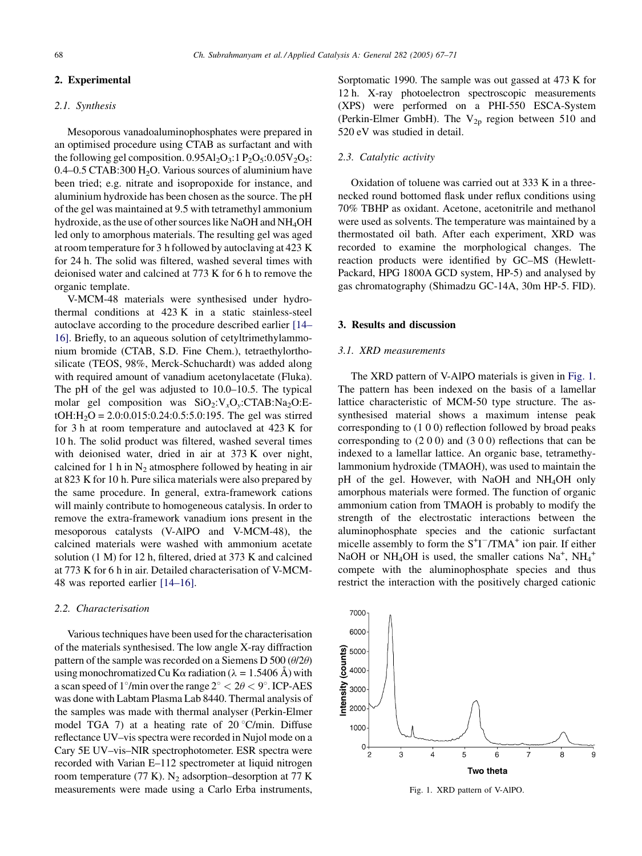# 2. Experimental

#### 2.1. Synthesis

Mesoporous vanadoaluminophosphates were prepared in an optimised procedure using CTAB as surfactant and with the following gel composition.  $0.95 \text{Al}_2\text{O}_3$ :  $1 \text{ P}_2\text{O}_5$ :  $0.05 \text{V}_2\text{O}_5$ : 0.4–0.5 CTAB:300  $H<sub>2</sub>O$ . Various sources of aluminium have been tried; e.g. nitrate and isopropoxide for instance, and aluminium hydroxide has been chosen as the source. The pH of the gel was maintained at 9.5 with tetramethyl ammonium hydroxide, as the use of other sources like NaOH and NH<sub>4</sub>OH led only to amorphous materials. The resulting gel was aged at room temperature for 3 h followed by autoclaving at 423 K for 24 h. The solid was filtered, washed several times with deionised water and calcined at 773 K for 6 h to remove the organic template.

V-MCM-48 materials were synthesised under hydrothermal conditions at 423 K in a static stainless-steel autoclave according to the procedure described earlier [\[14–](#page-4-0) [16\].](#page-4-0) Briefly, to an aqueous solution of cetyltrimethylammonium bromide (CTAB, S.D. Fine Chem.), tetraethylorthosilicate (TEOS, 98%, Merck-Schuchardt) was added along with required amount of vanadium acetonylacetate (Fluka). The pH of the gel was adjusted to 10.0–10.5. The typical molar gel composition was  $SiO_2:V_xO_y:CTAB:Na_2O:E$  $tOH:H<sub>2</sub>O = 2.0:0.015:0.24:0.5:5.0:195$ . The gel was stirred for 3 h at room temperature and autoclaved at 423 K for 10 h. The solid product was filtered, washed several times with deionised water, dried in air at 373 K over night, calcined for 1 h in  $N_2$  atmosphere followed by heating in air at 823 K for 10 h. Pure silica materials were also prepared by the same procedure. In general, extra-framework cations will mainly contribute to homogeneous catalysis. In order to remove the extra-framework vanadium ions present in the mesoporous catalysts (V-AlPO and V-MCM-48), the calcined materials were washed with ammonium acetate solution (1 M) for 12 h, filtered, dried at 373 K and calcined at 773 K for 6 h in air. Detailed characterisation of V-MCM-48 was reported earlier [\[14–16\].](#page-4-0)

# 2.2. Characterisation

Various techniques have been used for the characterisation of the materials synthesised. The low angle X-ray diffraction pattern of the sample was recorded on a Siemens D 500 ( $\theta$ /2 $\theta$ ) using monochromatized Cu K $\alpha$  radiation ( $\lambda = 1.5406$  Å) with a scan speed of 1°/min over the range  $2^{\circ} < 2\theta < 9^{\circ}$ . ICP-AES was done with Labtam Plasma Lab 8440. Thermal analysis of the samples was made with thermal analyser (Perkin-Elmer model TGA 7) at a heating rate of  $20^{\circ}$ C/min. Diffuse reflectance UV–vis spectra were recorded in Nujol mode on a Cary 5E UV–vis–NIR spectrophotometer. ESR spectra were recorded with Varian E–112 spectrometer at liquid nitrogen room temperature (77 K).  $N_2$  adsorption–desorption at 77 K measurements were made using a Carlo Erba instruments,

Sorptomatic 1990. The sample was out gassed at 473 K for 12 h. X-ray photoelectron spectroscopic measurements (XPS) were performed on a PHI-550 ESCA-System (Perkin-Elmer GmbH). The  $V_{2p}$  region between 510 and 520 eV was studied in detail.

## 2.3. Catalytic activity

Oxidation of toluene was carried out at 333 K in a threenecked round bottomed flask under reflux conditions using 70% TBHP as oxidant. Acetone, acetonitrile and methanol were used as solvents. The temperature was maintained by a thermostated oil bath. After each experiment, XRD was recorded to examine the morphological changes. The reaction products were identified by GC–MS (Hewlett-Packard, HPG 1800A GCD system, HP-5) and analysed by gas chromatography (Shimadzu GC-14A, 30m HP-5. FID).

## 3. Results and discussion

#### 3.1. XRD measurements

The XRD pattern of V-AlPO materials is given in Fig. 1. The pattern has been indexed on the basis of a lamellar lattice characteristic of MCM-50 type structure. The assynthesised material shows a maximum intense peak corresponding to (1 0 0) reflection followed by broad peaks corresponding to (2 0 0) and (3 0 0) reflections that can be indexed to a lamellar lattice. An organic base, tetramethylammonium hydroxide (TMAOH), was used to maintain the pH of the gel. However, with NaOH and NH4OH only amorphous materials were formed. The function of organic ammonium cation from TMAOH is probably to modify the strength of the electrostatic interactions between the aluminophosphate species and the cationic surfactant micelle assembly to form the S<sup>+</sup>I<sup>-</sup>/TMA<sup>+</sup> ion pair. If either NaOH or NH<sub>4</sub>OH is used, the smaller cations  $Na<sup>+</sup>$ , NH<sub>4</sub><sup>+</sup> compete with the aluminophosphate species and thus restrict the interaction with the positively charged cationic



Fig. 1. XRD pattern of V-AlPO.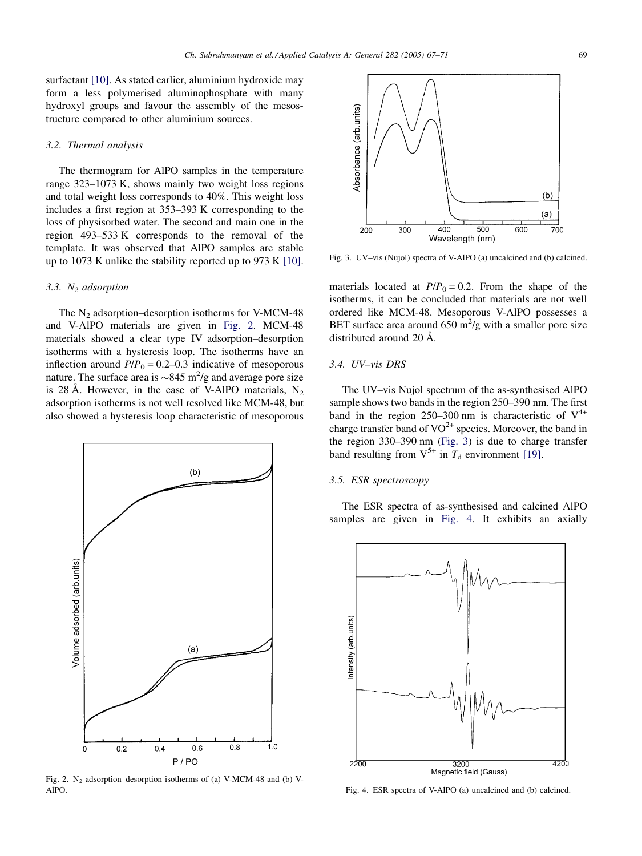surfactant [\[10\]](#page-4-0). As stated earlier, aluminium hydroxide may form a less polymerised aluminophosphate with many hydroxyl groups and favour the assembly of the mesostructure compared to other aluminium sources.

## 3.2. Thermal analysis

The thermogram for AlPO samples in the temperature range 323–1073 K, shows mainly two weight loss regions and total weight loss corresponds to 40%. This weight loss includes a first region at 353–393 K corresponding to the loss of physisorbed water. The second and main one in the region 493–533 K corresponds to the removal of the template. It was observed that AlPO samples are stable up to 1073 K unlike the stability reported up to 973 K [\[10\]](#page-4-0).

## 3.3.  $N_2$  adsorption

The  $N_2$  adsorption–desorption isotherms for V-MCM-48 and V-AlPO materials are given in Fig. 2. MCM-48 materials showed a clear type IV adsorption–desorption isotherms with a hysteresis loop. The isotherms have an inflection around  $P/P_0 = 0.2{\text -}0.3$  indicative of mesoporous nature. The surface area is  $\sim 845$  m<sup>2</sup>/g and average pore size is 28 Å. However, in the case of V-AlPO materials,  $N_2$ adsorption isotherms is not well resolved like MCM-48, but also showed a hysteresis loop characteristic of mesoporous



Fig. 2. N<sub>2</sub> adsorption–desorption isotherms of (a) V-MCM-48 and (b) V-AlPO.

Absorbance (arb.units)  $(b)$  $(a)$  $\overline{500}$  $\overline{400}$  $\overline{500}$  $\overline{70}0$ 200 300 Wavelength (nm)

Fig. 3. UV–vis (Nujol) spectra of V-AlPO (a) uncalcined and (b) calcined.

materials located at  $P/P_0 = 0.2$ . From the shape of the isotherms, it can be concluded that materials are not well ordered like MCM-48. Mesoporous V-AlPO possesses a BET surface area around  $650 \text{ m}^2/\text{g}$  with a smaller pore size distributed around 20 Å.

## 3.4. UV–vis DRS

The UV–vis Nujol spectrum of the as-synthesised AlPO sample shows two bands in the region 250–390 nm. The first band in the region 250–300 nm is characteristic of  $V^{4+}$ charge transfer band of  $VO^{2+}$  species. Moreover, the band in the region 330–390 nm (Fig. 3) is due to charge transfer band resulting from  $V^{5+}$  in  $T_d$  environment [\[19\].](#page-4-0)

# 3.5. ESR spectroscopy

The ESR spectra of as-synthesised and calcined AlPO samples are given in Fig. 4. It exhibits an axially



Fig. 4. ESR spectra of V-AlPO (a) uncalcined and (b) calcined.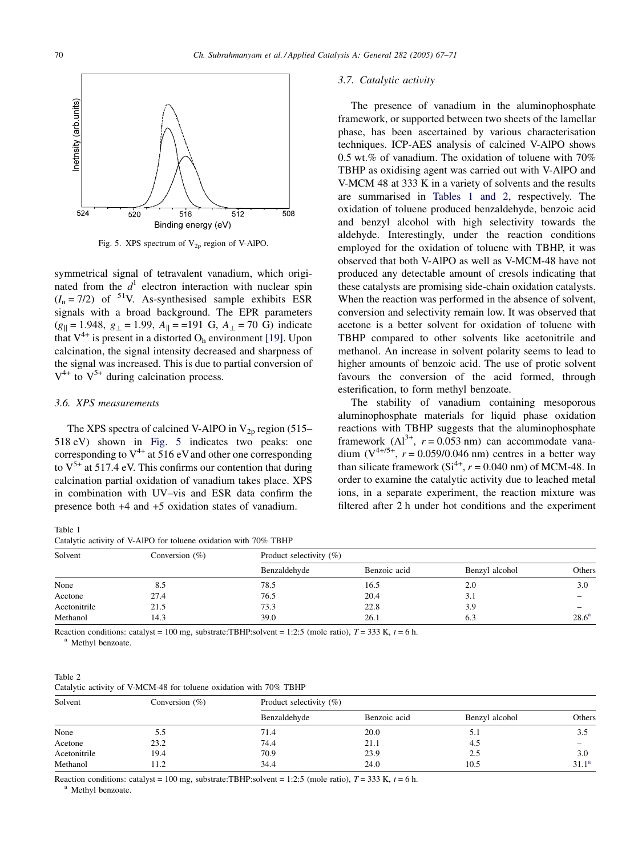

Fig. 5. XPS spectrum of  $V_{2p}$  region of V-AlPO.

symmetrical signal of tetravalent vanadium, which originated from the  $d<sup>1</sup>$  electron interaction with nuclear spin  $(I_n = 7/2)$  of <sup>51</sup>V. As-synthesised sample exhibits ESR signals with a broad background. The EPR parameters  $(g_{\parallel} = 1.948, g_{\perp} = 1.99, A_{\parallel} = 191 \text{ G}, A_{\perp} = 70 \text{ G}$  indicate that  $V^{4+}$  is present in a distorted O<sub>h</sub> environment [\[19\].](#page-4-0) Upon calcination, the signal intensity decreased and sharpness of the signal was increased. This is due to partial conversion of  $V^{4+}$  to  $V^{5+}$  during calcination process.

## 3.6. XPS measurements

The XPS spectra of calcined V-AlPO in  $V_{2p}$  region (515– 518 eV) shown in Fig. 5 indicates two peaks: one corresponding to  $V^{4+}$  at 516 eV and other one corresponding to  $V^{5+}$  at 517.4 eV. This confirms our contention that during calcination partial oxidation of vanadium takes place. XPS in combination with UV–vis and ESR data confirm the presence both +4 and +5 oxidation states of vanadium.

#### Table 1

Catalytic activity of V-AlPO for toluene oxidation with 70% TBHP

# 3.7. Catalytic activity

The presence of vanadium in the aluminophosphate framework, or supported between two sheets of the lamellar phase, has been ascertained by various characterisation techniques. ICP-AES analysis of calcined V-AlPO shows 0.5 wt.% of vanadium. The oxidation of toluene with 70% TBHP as oxidising agent was carried out with V-AlPO and V-MCM 48 at 333 K in a variety of solvents and the results are summarised in Tables 1 and 2, respectively. The oxidation of toluene produced benzaldehyde, benzoic acid and benzyl alcohol with high selectivity towards the aldehyde. Interestingly, under the reaction conditions employed for the oxidation of toluene with TBHP, it was observed that both V-AlPO as well as V-MCM-48 have not produced any detectable amount of cresols indicating that these catalysts are promising side-chain oxidation catalysts. When the reaction was performed in the absence of solvent, conversion and selectivity remain low. It was observed that acetone is a better solvent for oxidation of toluene with TBHP compared to other solvents like acetonitrile and methanol. An increase in solvent polarity seems to lead to higher amounts of benzoic acid. The use of protic solvent favours the conversion of the acid formed, through esterification, to form methyl benzoate.

The stability of vanadium containing mesoporous aluminophosphate materials for liquid phase oxidation reactions with TBHP suggests that the aluminophosphate framework  $(A1^{3+}, r = 0.053$  nm) can accommodate vanadium  $(V^{4+/5+}, r = 0.059/0.046$  nm) centres in a better way than silicate framework  $(Si^{4+}, r = 0.040$  nm) of MCM-48. In order to examine the catalytic activity due to leached metal ions, in a separate experiment, the reaction mixture was filtered after 2 h under hot conditions and the experiment

| Solvent      | Conversion $(\%)$ | Product selectivity $(\% )$ |              |                |                |  |  |
|--------------|-------------------|-----------------------------|--------------|----------------|----------------|--|--|
|              |                   | Benzaldehyde                | Benzoic acid | Benzyl alcohol | Others         |  |  |
| None         | 8.5               | 78.5                        | 16.5         | 2.0            | 3.0            |  |  |
| Acetone      | 27.4              | 76.5                        | 20.4         | 3.1            |                |  |  |
| Acetonitrile | 21.5              | 73.3                        | 22.8         | 3.9            | —              |  |  |
| Methanol     | 14.3              | 39.0                        | 26.1         | 6.3            | $28.6^{\rm a}$ |  |  |

Reaction conditions: catalyst = 100 mg, substrate:TBHP:solvent = 1:2:5 (mole ratio),  $T = 333$  K,  $t = 6$  h. a Methyl benzoate.

Table 2 Catalytic activity of V-MCM-48 for toluene oxidation with 70% TBHP

| Solvent      | Conversion $(\%)$ | Product selectivity $(\% )$ |              |                |                          |  |  |
|--------------|-------------------|-----------------------------|--------------|----------------|--------------------------|--|--|
|              |                   | Benzaldehyde                | Benzoic acid | Benzyl alcohol | Others                   |  |  |
| None         | 5.5               | 71.4                        | 20.0         | 5.1            | 3.5                      |  |  |
| Acetone      | 23.2              | 74.4                        | 21.1         | 4.5            | $\overline{\phantom{a}}$ |  |  |
| Acetonitrile | 19.4              | 70.9                        | 23.9         | 2.5            | 3.0                      |  |  |
| Methanol     | 11.2              | 34.4                        | 24.0         | 10.5           | $31.1^a$                 |  |  |

Reaction conditions: catalyst = 100 mg, substrate:TBHP:solvent = 1:2:5 (mole ratio),  $T = 333$  K,  $t = 6$  h. a Methyl benzoate.